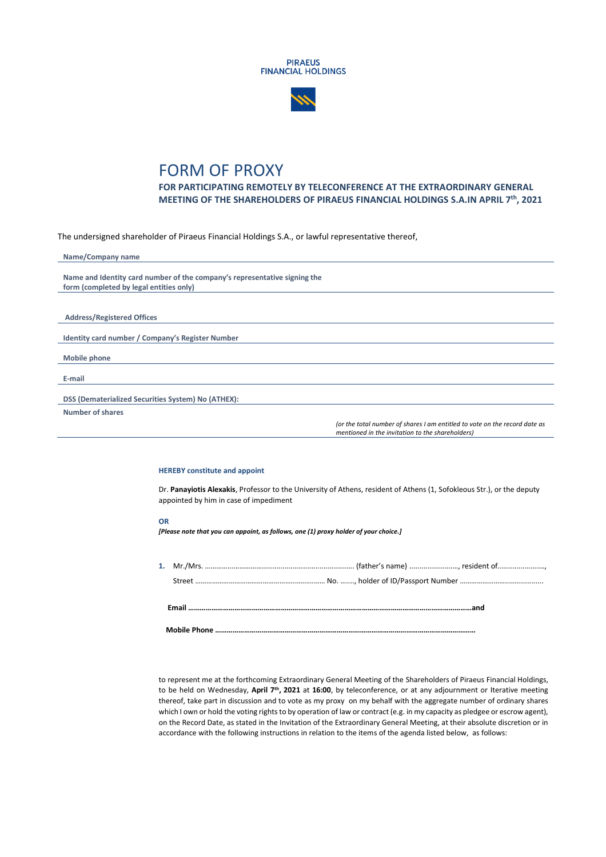



## FORM OF PROXY

**FOR PARTICIPATING REMOTELY BY TELECONFERENCE AT THE EXTRAORDINARY GENERAL MEETING OF THE SHAREHOLDERS OF PIRAEUS FINANCIAL HOLDINGS S.A.IN APRIL 7th, 2021**

The undersigned shareholder of Piraeus Financial Holdings S.A., or lawful representative thereof,

| Name/Company name                                                         |                                                                                                                                |
|---------------------------------------------------------------------------|--------------------------------------------------------------------------------------------------------------------------------|
|                                                                           |                                                                                                                                |
| Name and Identity card number of the company's representative signing the |                                                                                                                                |
| form (completed by legal entities only)                                   |                                                                                                                                |
|                                                                           |                                                                                                                                |
|                                                                           |                                                                                                                                |
| <b>Address/Registered Offices</b>                                         |                                                                                                                                |
|                                                                           |                                                                                                                                |
| Identity card number / Company's Register Number                          |                                                                                                                                |
|                                                                           |                                                                                                                                |
| <b>Mobile phone</b>                                                       |                                                                                                                                |
|                                                                           |                                                                                                                                |
| E-mail                                                                    |                                                                                                                                |
|                                                                           |                                                                                                                                |
| DSS (Dematerialized Securities System) No (ATHEX):                        |                                                                                                                                |
| Number of shares                                                          |                                                                                                                                |
|                                                                           | (or the total number of shares I am entitled to vote on the record date as<br>mentioned in the invitation to the shareholders) |

## **HEREBY constitute and appoint**

Dr. **Panayiotis Alexakis**, Professor to the University of Athens, resident of Athens (1, Sofokleous Str.), or the deputy appointed by him in case of impediment

## **OR**

*[Please note that you can appoint, as follows, one (1) proxy holder of your choice.]*

to represent me at the forthcoming Extraordinary General Meeting of the Shareholders of Piraeus Financial Holdings, to be held on Wednesday, **April 7th, 2021** at **16:00**, by teleconference, or at any adjournment or Iterative meeting thereof, take part in discussion and to vote as my proxy on my behalf with the aggregate number of ordinary shares which I own or hold the voting rights to by operation of law or contract (e.g. in my capacity as pledgee or escrow agent), on the Record Date, as stated in the Invitation of the Extraordinary General Meeting, at their absolute discretion or in accordance with the following instructions in relation to the items of the agenda listed below, as follows: